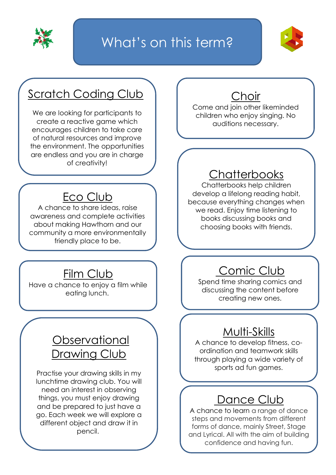

## What's on this term?



### Scratch Coding Club

We are looking for participants to create a reactive game which encourages children to take care of natural resources and improve the environment. The opportunities are endless and you are in charge of creativity!

#### Eco Club

A chance to share ideas, raise awareness and complete activities about making Hawthorn and our community a more environmentally friendly place to be.

#### Film Club

Have a chance to enjoy a film while eating lunch.

#### **Observational** Drawing Club

Practise your drawing skills in my lunchtime drawing club. You will need an interest in observing things, you must enjoy drawing and be prepared to just have a go. Each week we will explore a different object and draw it in pencil.

#### Choir

Come and join other likeminded children who enjoy singing. No auditions necessary.

#### **Chatterbooks**

Chatterbooks help children develop a lifelong reading habit, because everything changes when we read. Enjoy time listening to books discussing books and choosing books with friends.

#### Comic Club

Spend time sharing comics and discussing the content before creating new ones.

#### Multi-Skills

A chance to develop fitness, coordination and teamwork skills through playing a wide variety of sports ad fun games.

#### Dance Club

A chance to learn a range of dance steps and movements from different forms of dance, mainly Street, Stage and Lyrical. All with the aim of building confidence and having fun.